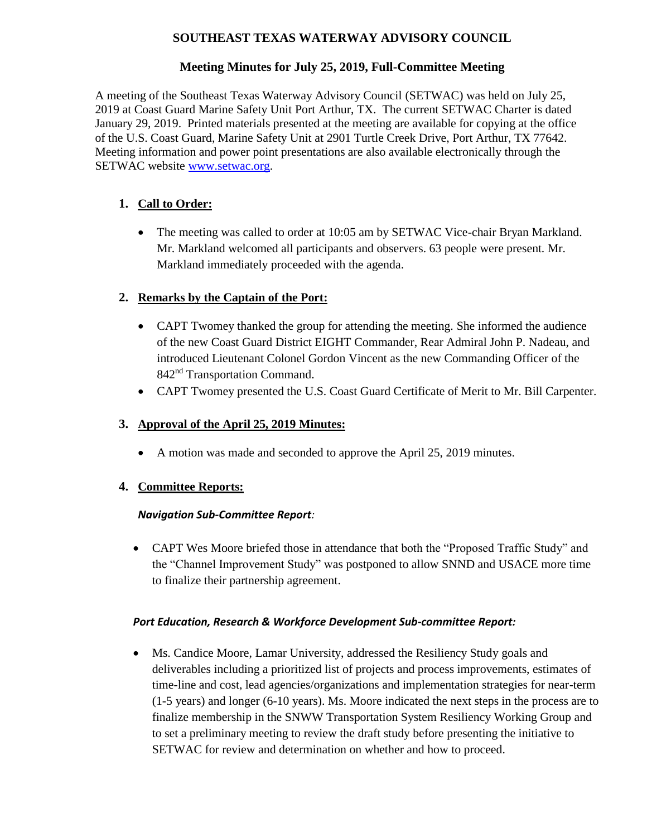### **SOUTHEAST TEXAS WATERWAY ADVISORY COUNCIL**

## **Meeting Minutes for July 25, 2019, Full-Committee Meeting**

A meeting of the Southeast Texas Waterway Advisory Council (SETWAC) was held on July 25, 2019 at Coast Guard Marine Safety Unit Port Arthur, TX. The current SETWAC Charter is dated January 29, 2019. Printed materials presented at the meeting are available for copying at the office of the U.S. Coast Guard, Marine Safety Unit at 2901 Turtle Creek Drive, Port Arthur, TX 77642. Meeting information and power point presentations are also available electronically through the SETWAC website **www.setwac.org.** 

## **1. Call to Order:**

• The meeting was called to order at 10:05 am by SETWAC Vice-chair Bryan Markland. Mr. Markland welcomed all participants and observers. 63 people were present. Mr. Markland immediately proceeded with the agenda.

### **2. Remarks by the Captain of the Port:**

- CAPT Twomey thanked the group for attending the meeting. She informed the audience of the new Coast Guard District EIGHT Commander, Rear Admiral John P. Nadeau, and introduced Lieutenant Colonel Gordon Vincent as the new Commanding Officer of the 842<sup>nd</sup> Transportation Command.
- CAPT Twomey presented the U.S. Coast Guard Certificate of Merit to Mr. Bill Carpenter.

### **3. Approval of the April 25, 2019 Minutes:**

A motion was made and seconded to approve the April 25, 2019 minutes.

### **4. Committee Reports:**

#### *Navigation Sub-Committee Report:*

 CAPT Wes Moore briefed those in attendance that both the "Proposed Traffic Study" and the "Channel Improvement Study" was postponed to allow SNND and USACE more time to finalize their partnership agreement.

#### *Port Education, Research & Workforce Development Sub-committee Report:*

 Ms. Candice Moore, Lamar University, addressed the Resiliency Study goals and deliverables including a prioritized list of projects and process improvements, estimates of time-line and cost, lead agencies/organizations and implementation strategies for near-term (1-5 years) and longer (6-10 years). Ms. Moore indicated the next steps in the process are to finalize membership in the SNWW Transportation System Resiliency Working Group and to set a preliminary meeting to review the draft study before presenting the initiative to SETWAC for review and determination on whether and how to proceed.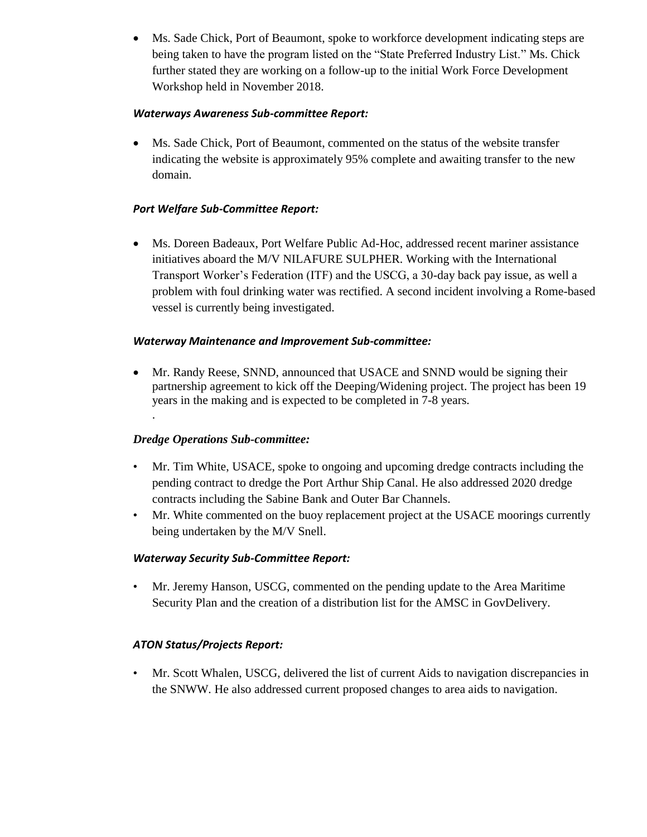Ms. Sade Chick, Port of Beaumont, spoke to workforce development indicating steps are being taken to have the program listed on the "State Preferred Industry List." Ms. Chick further stated they are working on a follow-up to the initial Work Force Development Workshop held in November 2018.

#### *Waterways Awareness Sub-committee Report:*

 Ms. Sade Chick, Port of Beaumont, commented on the status of the website transfer indicating the website is approximately 95% complete and awaiting transfer to the new domain.

### *Port Welfare Sub-Committee Report:*

 Ms. Doreen Badeaux, Port Welfare Public Ad-Hoc, addressed recent mariner assistance initiatives aboard the M/V NILAFURE SULPHER. Working with the International Transport Worker's Federation (ITF) and the USCG, a 30-day back pay issue, as well a problem with foul drinking water was rectified. A second incident involving a Rome-based vessel is currently being investigated.

#### *Waterway Maintenance and Improvement Sub-committee:*

 Mr. Randy Reese, SNND, announced that USACE and SNND would be signing their partnership agreement to kick off the Deeping/Widening project. The project has been 19 years in the making and is expected to be completed in 7-8 years.

### *Dredge Operations Sub-committee:*

.

- Mr. Tim White, USACE, spoke to ongoing and upcoming dredge contracts including the pending contract to dredge the Port Arthur Ship Canal. He also addressed 2020 dredge contracts including the Sabine Bank and Outer Bar Channels.
- Mr. White commented on the buoy replacement project at the USACE moorings currently being undertaken by the M/V Snell.

### *Waterway Security Sub-Committee Report:*

• Mr. Jeremy Hanson, USCG, commented on the pending update to the Area Maritime Security Plan and the creation of a distribution list for the AMSC in GovDelivery.

### *ATON Status/Projects Report:*

• Mr. Scott Whalen, USCG, delivered the list of current Aids to navigation discrepancies in the SNWW. He also addressed current proposed changes to area aids to navigation.